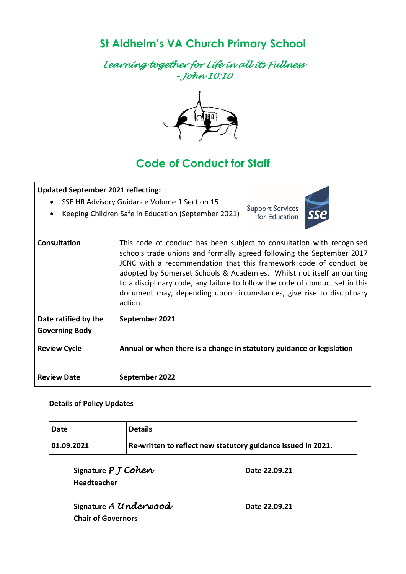**St Aldhelm's VA Church Primary School** 

*Learning together for Life in all its Fullness – John 10:10* 



# **Code of Conduct for Staff**

| <b>Updated September 2021 reflecting:</b>     |                                                                                                                                                                                                                                                                                                                                                                                                                                                                  |
|-----------------------------------------------|------------------------------------------------------------------------------------------------------------------------------------------------------------------------------------------------------------------------------------------------------------------------------------------------------------------------------------------------------------------------------------------------------------------------------------------------------------------|
| $\bullet$<br>$\bullet$                        | SSE HR Advisory Guidance Volume 1 Section 15<br><b>Support Services</b><br>sse<br>Keeping Children Safe in Education (September 2021)<br>for Education                                                                                                                                                                                                                                                                                                           |
| Consultation                                  | This code of conduct has been subject to consultation with recognised<br>schools trade unions and formally agreed following the September 2017<br>JCNC with a recommendation that this framework code of conduct be<br>adopted by Somerset Schools & Academies. Whilst not itself amounting<br>to a disciplinary code, any failure to follow the code of conduct set in this<br>document may, depending upon circumstances, give rise to disciplinary<br>action. |
| Date ratified by the<br><b>Governing Body</b> | September 2021                                                                                                                                                                                                                                                                                                                                                                                                                                                   |
| <b>Review Cycle</b>                           | Annual or when there is a change in statutory guidance or legislation                                                                                                                                                                                                                                                                                                                                                                                            |
| <b>Review Date</b>                            | September 2022                                                                                                                                                                                                                                                                                                                                                                                                                                                   |

#### **Details of Policy Updates**

| Date       | <b>Details</b>                                               |
|------------|--------------------------------------------------------------|
| 01.09.2021 | Re-written to reflect new statutory guidance issued in 2021. |

**Signature** *P J Cohen* Date 22.09.21 **Headteacher**

| Signature A Underwood     |  |
|---------------------------|--|
| <b>Chair of Governors</b> |  |

**Signature** *A Underwood* **Date 22.09.21**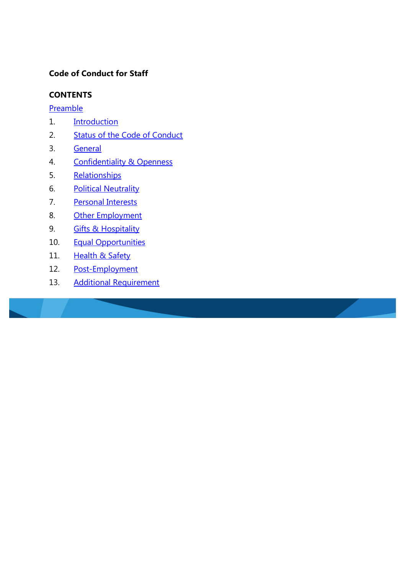## **Code of Conduct for Staff**

#### **CONTENTS**

**[Preamble](#page-2-0)** 

- 1. [Introduction](#page-3-0)
- 2. [Status of the Code of Conduct](#page-3-1)
- 3. [General](#page-3-2)
- 4. [Confidentiality](#page-4-0) & Openness
- 5. [Relationships](#page-4-1)
- 6. [Political Neutrality](#page-5-0)
- 7. [Personal Interests](#page-5-1)
- 8. [Other Employment](#page-5-2)
- 9. **[Gifts & Hospitality](#page-6-0)**
- 10. [Equal Opportunities](#page-7-0)
- 11. [Health & Safety](#page-7-1)
- 12. [Post-Employment](#page-8-0)
- 13. [Additional Requirement](#page-8-1)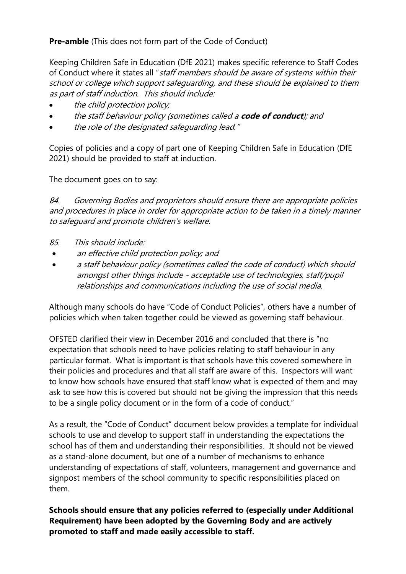# <span id="page-2-0"></span>**Pre-amble** (This does not form part of the Code of Conduct)

Keeping Children Safe in Education (DfE 2021) makes specific reference to Staff Codes of Conduct where it states all "staff members should be aware of systems within their school or college which support safeguarding, and these should be explained to them as part of staff induction. This should include:

- the child protection policy;
- the staff behaviour policy (sometimes called a **code of conduct**); and
- the role of the designated safeguarding lead."

Copies of policies and a copy of part one of Keeping Children Safe in Education (DfE 2021) should be provided to staff at induction.

The document goes on to say:

84. Governing Bodies and proprietors should ensure there are appropriate policies and procedures in place in order for appropriate action to be taken in a timely manner to safeguard and promote children's welfare.

- 85. This should include:
- an effective child protection policy; and
- a staff behaviour policy (sometimes called the code of conduct) which should amongst other things include - acceptable use of technologies, staff/pupil relationships and communications including the use of social media.

Although many schools do have "Code of Conduct Policies", others have a number of policies which when taken together could be viewed as governing staff behaviour.

OFSTED clarified their view in December 2016 and concluded that there is "no expectation that schools need to have policies relating to staff behaviour in any particular format. What is important is that schools have this covered somewhere in their policies and procedures and that all staff are aware of this. Inspectors will want to know how schools have ensured that staff know what is expected of them and may ask to see how this is covered but should not be giving the impression that this needs to be a single policy document or in the form of a code of conduct."

As a result, the "Code of Conduct" document below provides a template for individual schools to use and develop to support staff in understanding the expectations the school has of them and understanding their responsibilities. It should not be viewed as a stand-alone document, but one of a number of mechanisms to enhance understanding of expectations of staff, volunteers, management and governance and signpost members of the school community to specific responsibilities placed on them.

**Schools should ensure that any policies referred to (especially under Additional Requirement) have been adopted by the Governing Body and are actively promoted to staff and made easily accessible to staff.**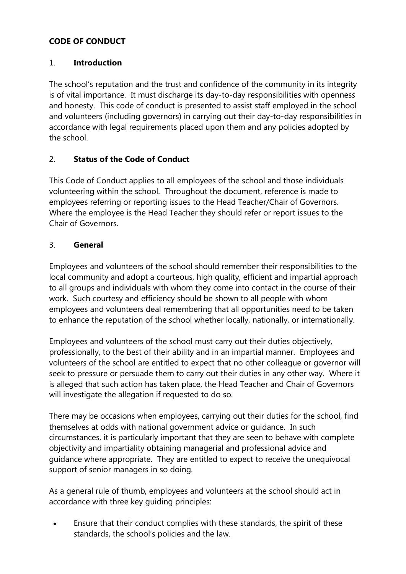# **CODE OF CONDUCT**

### <span id="page-3-0"></span>1. **Introduction**

The school's reputation and the trust and confidence of the community in its integrity is of vital importance. It must discharge its day-to-day responsibilities with openness and honesty. This code of conduct is presented to assist staff employed in the school and volunteers (including governors) in carrying out their day-to-day responsibilities in accordance with legal requirements placed upon them and any policies adopted by the school.

## <span id="page-3-1"></span>2. **Status of the Code of Conduct**

This Code of Conduct applies to all employees of the school and those individuals volunteering within the school. Throughout the document, reference is made to employees referring or reporting issues to the Head Teacher/Chair of Governors. Where the employee is the Head Teacher they should refer or report issues to the Chair of Governors.

# <span id="page-3-2"></span>3. **General**

Employees and volunteers of the school should remember their responsibilities to the local community and adopt a courteous, high quality, efficient and impartial approach to all groups and individuals with whom they come into contact in the course of their work. Such courtesy and efficiency should be shown to all people with whom employees and volunteers deal remembering that all opportunities need to be taken to enhance the reputation of the school whether locally, nationally, or internationally.

Employees and volunteers of the school must carry out their duties objectively, professionally, to the best of their ability and in an impartial manner. Employees and volunteers of the school are entitled to expect that no other colleague or governor will seek to pressure or persuade them to carry out their duties in any other way. Where it is alleged that such action has taken place, the Head Teacher and Chair of Governors will investigate the allegation if requested to do so.

There may be occasions when employees, carrying out their duties for the school, find themselves at odds with national government advice or guidance. In such circumstances, it is particularly important that they are seen to behave with complete objectivity and impartiality obtaining managerial and professional advice and guidance where appropriate. They are entitled to expect to receive the unequivocal support of senior managers in so doing.

As a general rule of thumb, employees and volunteers at the school should act in accordance with three key guiding principles:

 Ensure that their conduct complies with these standards, the spirit of these standards, the school's policies and the law.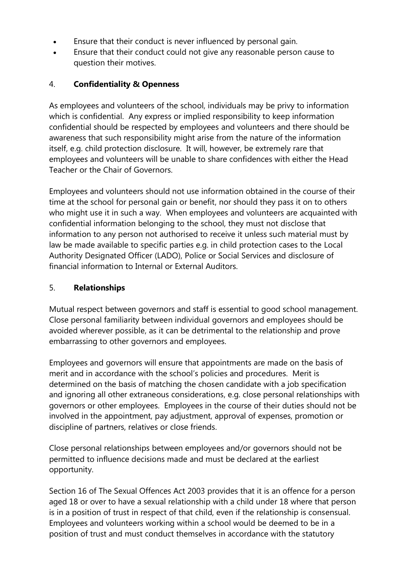- Ensure that their conduct is never influenced by personal gain.
- Ensure that their conduct could not give any reasonable person cause to question their motives.

## <span id="page-4-0"></span>4. **Confidentiality & Openness**

As employees and volunteers of the school, individuals may be privy to information which is confidential. Any express or implied responsibility to keep information confidential should be respected by employees and volunteers and there should be awareness that such responsibility might arise from the nature of the information itself, e.g. child protection disclosure. It will, however, be extremely rare that employees and volunteers will be unable to share confidences with either the Head Teacher or the Chair of Governors.

Employees and volunteers should not use information obtained in the course of their time at the school for personal gain or benefit, nor should they pass it on to others who might use it in such a way. When employees and volunteers are acquainted with confidential information belonging to the school, they must not disclose that information to any person not authorised to receive it unless such material must by law be made available to specific parties e.g. in child protection cases to the Local Authority Designated Officer (LADO), Police or Social Services and disclosure of financial information to Internal or External Auditors.

#### <span id="page-4-1"></span>5. **Relationships**

Mutual respect between governors and staff is essential to good school management. Close personal familiarity between individual governors and employees should be avoided wherever possible, as it can be detrimental to the relationship and prove embarrassing to other governors and employees.

Employees and governors will ensure that appointments are made on the basis of merit and in accordance with the school's policies and procedures. Merit is determined on the basis of matching the chosen candidate with a job specification and ignoring all other extraneous considerations, e.g. close personal relationships with governors or other employees. Employees in the course of their duties should not be involved in the appointment, pay adjustment, approval of expenses, promotion or discipline of partners, relatives or close friends.

Close personal relationships between employees and/or governors should not be permitted to influence decisions made and must be declared at the earliest opportunity.

Section 16 of The Sexual Offences Act 2003 provides that it is an offence for a person aged 18 or over to have a sexual relationship with a child under 18 where that person is in a position of trust in respect of that child, even if the relationship is consensual. Employees and volunteers working within a school would be deemed to be in a position of trust and must conduct themselves in accordance with the statutory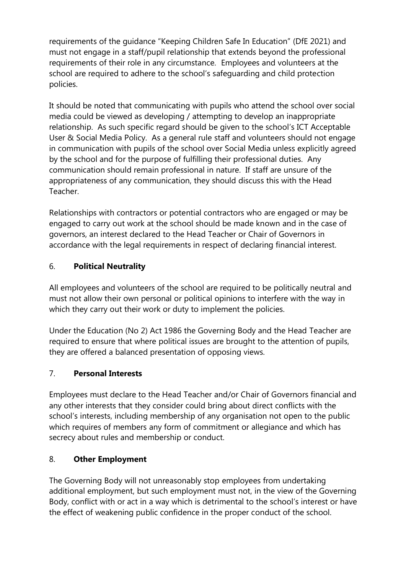requirements of the guidance "Keeping Children Safe In Education" (DfE 2021) and must not engage in a staff/pupil relationship that extends beyond the professional requirements of their role in any circumstance. Employees and volunteers at the school are required to adhere to the school's safeguarding and child protection policies.

It should be noted that communicating with pupils who attend the school over social media could be viewed as developing / attempting to develop an inappropriate relationship. As such specific regard should be given to the school's ICT Acceptable User & Social Media Policy. As a general rule staff and volunteers should not engage in communication with pupils of the school over Social Media unless explicitly agreed by the school and for the purpose of fulfilling their professional duties. Any communication should remain professional in nature. If staff are unsure of the appropriateness of any communication, they should discuss this with the Head **Teacher** 

Relationships with contractors or potential contractors who are engaged or may be engaged to carry out work at the school should be made known and in the case of governors, an interest declared to the Head Teacher or Chair of Governors in accordance with the legal requirements in respect of declaring financial interest.

# <span id="page-5-0"></span>6. **Political Neutrality**

All employees and volunteers of the school are required to be politically neutral and must not allow their own personal or political opinions to interfere with the way in which they carry out their work or duty to implement the policies.

Under the Education (No 2) Act 1986 the Governing Body and the Head Teacher are required to ensure that where political issues are brought to the attention of pupils, they are offered a balanced presentation of opposing views.

## <span id="page-5-1"></span>7. **Personal Interests**

Employees must declare to the Head Teacher and/or Chair of Governors financial and any other interests that they consider could bring about direct conflicts with the school's interests, including membership of any organisation not open to the public which requires of members any form of commitment or allegiance and which has secrecy about rules and membership or conduct.

## <span id="page-5-2"></span>8. **Other Employment**

The Governing Body will not unreasonably stop employees from undertaking additional employment, but such employment must not, in the view of the Governing Body, conflict with or act in a way which is detrimental to the school's interest or have the effect of weakening public confidence in the proper conduct of the school.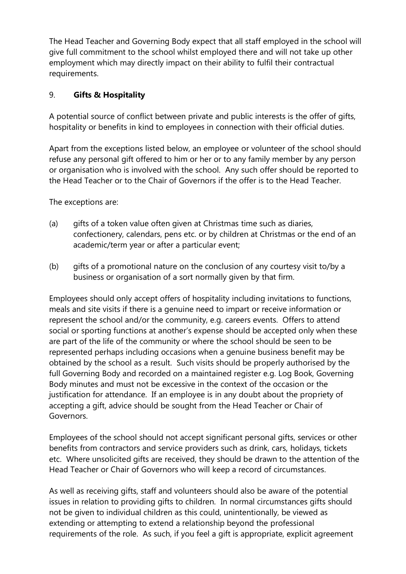The Head Teacher and Governing Body expect that all staff employed in the school will give full commitment to the school whilst employed there and will not take up other employment which may directly impact on their ability to fulfil their contractual requirements.

## <span id="page-6-0"></span>9. **Gifts & Hospitality**

A potential source of conflict between private and public interests is the offer of gifts, hospitality or benefits in kind to employees in connection with their official duties.

Apart from the exceptions listed below, an employee or volunteer of the school should refuse any personal gift offered to him or her or to any family member by any person or organisation who is involved with the school. Any such offer should be reported to the Head Teacher or to the Chair of Governors if the offer is to the Head Teacher.

The exceptions are:

- (a) gifts of a token value often given at Christmas time such as diaries, confectionery, calendars, pens etc. or by children at Christmas or the end of an academic/term year or after a particular event;
- (b) gifts of a promotional nature on the conclusion of any courtesy visit to/by a business or organisation of a sort normally given by that firm.

Employees should only accept offers of hospitality including invitations to functions, meals and site visits if there is a genuine need to impart or receive information or represent the school and/or the community, e.g. careers events. Offers to attend social or sporting functions at another's expense should be accepted only when these are part of the life of the community or where the school should be seen to be represented perhaps including occasions when a genuine business benefit may be obtained by the school as a result. Such visits should be properly authorised by the full Governing Body and recorded on a maintained register e.g. Log Book, Governing Body minutes and must not be excessive in the context of the occasion or the justification for attendance. If an employee is in any doubt about the propriety of accepting a gift, advice should be sought from the Head Teacher or Chair of Governors.

Employees of the school should not accept significant personal gifts, services or other benefits from contractors and service providers such as drink, cars, holidays, tickets etc. Where unsolicited gifts are received, they should be drawn to the attention of the Head Teacher or Chair of Governors who will keep a record of circumstances.

As well as receiving gifts, staff and volunteers should also be aware of the potential issues in relation to providing gifts to children. In normal circumstances gifts should not be given to individual children as this could, unintentionally, be viewed as extending or attempting to extend a relationship beyond the professional requirements of the role. As such, if you feel a gift is appropriate, explicit agreement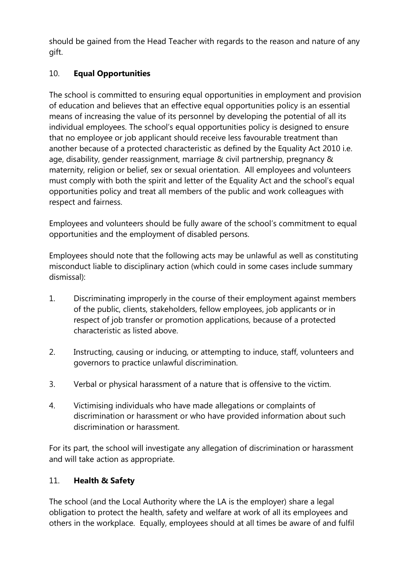should be gained from the Head Teacher with regards to the reason and nature of any gift.

# <span id="page-7-0"></span>10. **Equal Opportunities**

The school is committed to ensuring equal opportunities in employment and provision of education and believes that an effective equal opportunities policy is an essential means of increasing the value of its personnel by developing the potential of all its individual employees. The school's equal opportunities policy is designed to ensure that no employee or job applicant should receive less favourable treatment than another because of a protected characteristic as defined by the Equality Act 2010 i.e. age, disability, gender reassignment, marriage & civil partnership, pregnancy & maternity, religion or belief, sex or sexual orientation. All employees and volunteers must comply with both the spirit and letter of the Equality Act and the school's equal opportunities policy and treat all members of the public and work colleagues with respect and fairness.

Employees and volunteers should be fully aware of the school's commitment to equal opportunities and the employment of disabled persons.

Employees should note that the following acts may be unlawful as well as constituting misconduct liable to disciplinary action (which could in some cases include summary dismissal):

- 1. Discriminating improperly in the course of their employment against members of the public, clients, stakeholders, fellow employees, job applicants or in respect of job transfer or promotion applications, because of a protected characteristic as listed above.
- 2. Instructing, causing or inducing, or attempting to induce, staff, volunteers and governors to practice unlawful discrimination.
- 3. Verbal or physical harassment of a nature that is offensive to the victim.
- 4. Victimising individuals who have made allegations or complaints of discrimination or harassment or who have provided information about such discrimination or harassment.

For its part, the school will investigate any allegation of discrimination or harassment and will take action as appropriate.

# <span id="page-7-1"></span>11. **Health & Safety**

The school (and the Local Authority where the LA is the employer) share a legal obligation to protect the health, safety and welfare at work of all its employees and others in the workplace. Equally, employees should at all times be aware of and fulfil